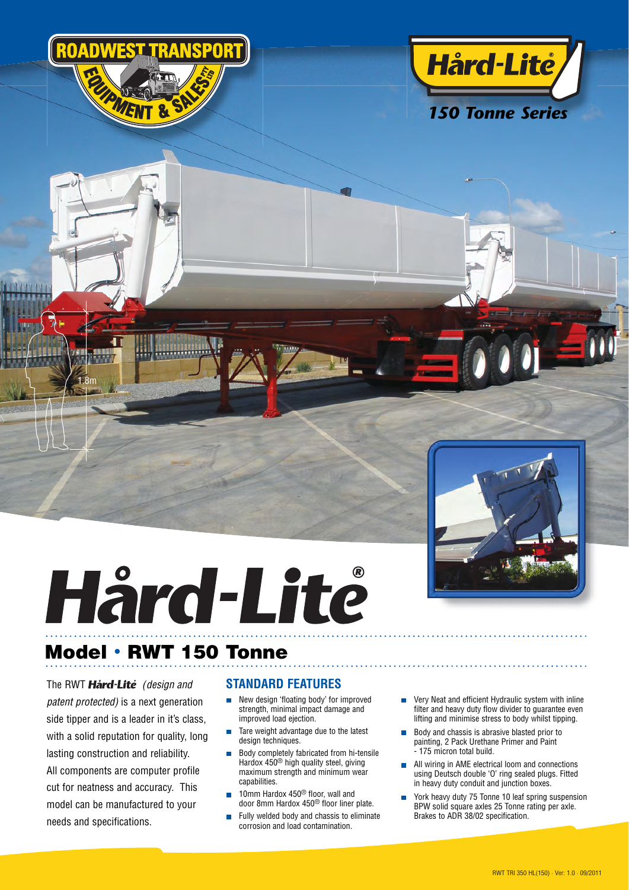





## Hård-Lite

## **Model · RWT 150 Tonne**

The RWT **Hård-Lite** (design and *patent protected*) is a next generation side tipper and is a leader in it's class, with a solid reputation for quality, long lasting construction and reliability. All components are computer profile cut for neatness and accuracy. This model can be manufactured to your needs and specifications.

1.8m

## **STANDARD FEATURES**

- New design 'floating body' for improved strength, minimal impact damage and improved load ejection.
- Tare weight advantage due to the latest design techniques.
- Body completely fabricated from hi-tensile Hardox 450® high quality steel, giving maximum strength and minimum wear capabilities.
- 10mm Hardox 450<sup>®</sup> floor, wall and door 8mm Hardox 450<sup>®</sup> floor liner plate.
- Fully welded body and chassis to eliminate corrosion and load contamination.
- **very Neat and efficient Hydraulic system with inline** filter and heavy duty flow divider to guarantee even lifting and minimise stress to body whilst tipping.
- **Body and chassis is abrasive blasted prior to**  painting, 2 Pack Urethane Primer and Paint - 175 micron total build.
- **All wiring in AME electrical loom and connections**  using Deutsch double 'O' ring sealed plugs. Fitted in heavy duty conduit and junction boxes.
- York heavy duty 75 Tonne 10 leaf spring suspension BPW solid square axles 25 Tonne rating per axle. Brakes to ADR 38/02 specification.